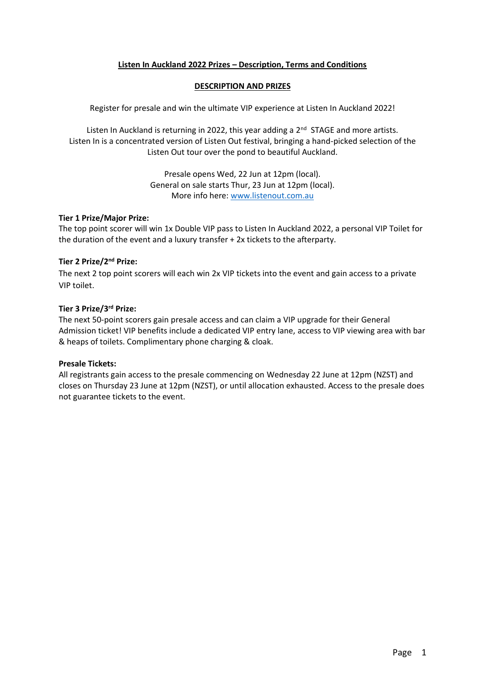# **Listen In Auckland 2022 Prizes – Description, Terms and Conditions**

### **DESCRIPTION AND PRIZES**

Register for presale and win the ultimate VIP experience at Listen In Auckland 2022!

Listen In Auckland is returning in 2022, this year adding a 2<sup>nd</sup> STAGE and more artists. Listen In is a concentrated version of Listen Out festival, bringing a hand-picked selection of the Listen Out tour over the pond to beautiful Auckland.

> Presale opens Wed, 22 Jun at 12pm (local). General on sale starts Thur, 23 Jun at 12pm (local). More info here: [www.listenout.com.au](http://www.listenout.com.au/)

#### **Tier 1 Prize/Major Prize:**

The top point scorer will win 1x Double VIP pass to Listen In Auckland 2022, a personal VIP Toilet for the duration of the event and a luxury transfer + 2x tickets to the afterparty.

#### **Tier 2 Prize/2nd Prize:**

The next 2 top point scorers will each win 2x VIP tickets into the event and gain access to a private VIP toilet.

## **Tier 3 Prize/3rd Prize:**

The next 50-point scorers gain presale access and can claim a VIP upgrade for their General Admission ticket! VIP benefits include a dedicated VIP entry lane, access to VIP viewing area with bar & heaps of toilets. Complimentary phone charging & cloak.

## **Presale Tickets:**

All registrants gain access to the presale commencing on Wednesday 22 June at 12pm (NZST) and closes on Thursday 23 June at 12pm (NZST), or until allocation exhausted. Access to the presale does not guarantee tickets to the event.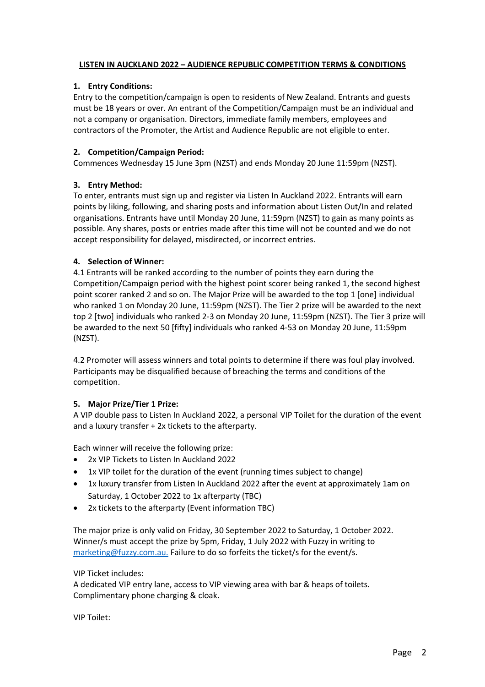## **LISTEN IN AUCKLAND 2022 – AUDIENCE REPUBLIC COMPETITION TERMS & CONDITIONS**

# **1. Entry Conditions:**

Entry to the competition/campaign is open to residents of New Zealand. Entrants and guests must be 18 years or over. An entrant of the Competition/Campaign must be an individual and not a company or organisation. Directors, immediate family members, employees and contractors of the Promoter, the Artist and Audience Republic are not eligible to enter.

# **2. Competition/Campaign Period:**

Commences Wednesday 15 June 3pm (NZST) and ends Monday 20 June 11:59pm (NZST).

# **3. Entry Method:**

To enter, entrants must sign up and register via Listen In Auckland 2022. Entrants will earn points by liking, following, and sharing posts and information about Listen Out/In and related organisations. Entrants have until Monday 20 June, 11:59pm (NZST) to gain as many points as possible. Any shares, posts or entries made after this time will not be counted and we do not accept responsibility for delayed, misdirected, or incorrect entries.

# **4. Selection of Winner:**

4.1 Entrants will be ranked according to the number of points they earn during the Competition/Campaign period with the highest point scorer being ranked 1, the second highest point scorer ranked 2 and so on. The Major Prize will be awarded to the top 1 [one] individual who ranked 1 on Monday 20 June, 11:59pm (NZST). The Tier 2 prize will be awarded to the next top 2 [two] individuals who ranked 2-3 on Monday 20 June, 11:59pm (NZST). The Tier 3 prize will be awarded to the next 50 [fifty] individuals who ranked 4-53 on Monday 20 June, 11:59pm (NZST).

4.2 Promoter will assess winners and total points to determine if there was foul play involved. Participants may be disqualified because of breaching the terms and conditions of the competition.

## **5. Major Prize/Tier 1 Prize:**

A VIP double pass to Listen In Auckland 2022, a personal VIP Toilet for the duration of the event and a luxury transfer + 2x tickets to the afterparty.

Each winner will receive the following prize:

- 2x VIP Tickets to Listen In Auckland 2022
- 1x VIP toilet for the duration of the event (running times subject to change)
- 1x luxury transfer from Listen In Auckland 2022 after the event at approximately 1am on Saturday, 1 October 2022 to 1x afterparty (TBC)
- 2x tickets to the afterparty (Event information TBC)

The major prize is only valid on Friday, 30 September 2022 to Saturday, 1 October 2022. Winner/s must accept the prize by 5pm, Friday, 1 July 2022 with Fuzzy in writing to [marketing@fuzzy.com.au.](mailto:marketing@fuzzy.com.au) Failure to do so forfeits the ticket/s for the event/s.

## VIP Ticket includes:

A dedicated VIP entry lane, access to VIP viewing area with bar & heaps of toilets. Complimentary phone charging & cloak.

VIP Toilet: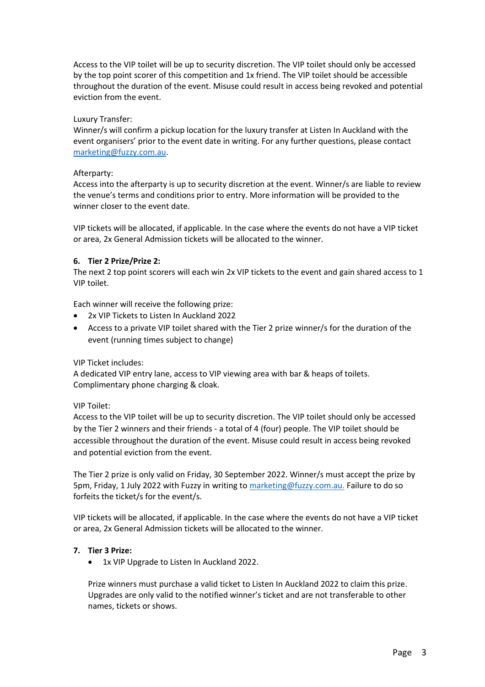Access to the VIP toilet will be up to security discretion. The VIP toilet should only be accessed by the top point scorer of this competition and 1x friend. The VIP toilet should be accessible throughout the duration of the event. Misuse could result in access being revoked and potential eviction from the event.

## Luxury Transfer:

Winner/s will confirm a pickup location for the luxury transfer at Listen In Auckland with the event organisers' prior to the event date in writing. For any further questions, please contact [marketing@fuzzy.com.au.](mailto:marketing@fuzzy.com.au)

## Afterparty:

Access into the afterparty is up to security discretion at the event. Winner/s are liable to review the venue's terms and conditions prior to entry. More information will be provided to the winner closer to the event date.

VIP tickets will be allocated, if applicable. In the case where the events do not have a VIP ticket or area, 2x General Admission tickets will be allocated to the winner.

## **6. Tier 2 Prize/Prize 2:**

The next 2 top point scorers will each win 2x VIP tickets to the event and gain shared access to 1 VIP toilet.

Each winner will receive the following prize:

- 2x VIP Tickets to Listen In Auckland 2022
- Access to a private VIP toilet shared with the Tier 2 prize winner/s for the duration of the event (running times subject to change)

VIP Ticket includes:

A dedicated VIP entry lane, access to VIP viewing area with bar & heaps of toilets. Complimentary phone charging & cloak.

## VIP Toilet:

Access to the VIP toilet will be up to security discretion. The VIP toilet should only be accessed by the Tier 2 winners and their friends - a total of 4 (four) people. The VIP toilet should be accessible throughout the duration of the event. Misuse could result in access being revoked and potential eviction from the event.

The Tier 2 prize is only valid on Friday, 30 September 2022. Winner/s must accept the prize by 5pm, Friday, 1 July 2022 with Fuzzy in writing to [marketing@fuzzy.com.au.](mailto:marketing@fuzzy.com.au) Failure to do so forfeits the ticket/s for the event/s.

VIP tickets will be allocated, if applicable. In the case where the events do not have a VIP ticket or area, 2x General Admission tickets will be allocated to the winner.

## **7. Tier 3 Prize:**

• 1x VIP Upgrade to Listen In Auckland 2022.

Prize winners must purchase a valid ticket to Listen In Auckland 2022 to claim this prize. Upgrades are only valid to the notified winner's ticket and are not transferable to other names, tickets or shows.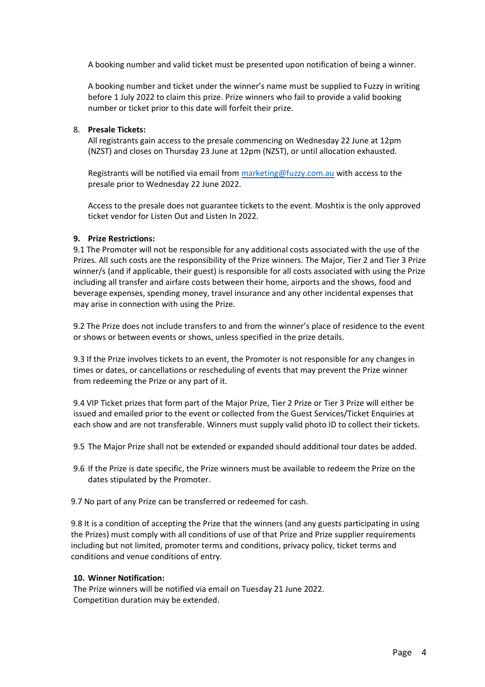A booking number and valid ticket must be presented upon notification of being a winner.

A booking number and ticket under the winner's name must be supplied to Fuzzy in writing before 1 July 2022 to claim this prize. Prize winners who fail to provide a valid booking number or ticket prior to this date will forfeit their prize.

## 8. **Presale Tickets:**

All registrants gain access to the presale commencing on Wednesday 22 June at 12pm (NZST) and closes on Thursday 23 June at 12pm (NZST), or until allocation exhausted.

Registrants will be notified via email from [marketing@fuzzy.com.au](mailto:marketing@fuzzy.com.au) with access to the presale prior to Wednesday 22 June 2022.

Access to the presale does not guarantee tickets to the event. Moshtix is the only approved ticket vendor for Listen Out and Listen In 2022.

## **9. Prize Restrictions:**

9.1 The Promoter will not be responsible for any additional costs associated with the use of the Prizes. All such costs are the responsibility of the Prize winners. The Major, Tier 2 and Tier 3 Prize winner/s (and if applicable, their guest) is responsible for all costs associated with using the Prize including all transfer and airfare costs between their home, airports and the shows, food and beverage expenses, spending money, travel insurance and any other incidental expenses that may arise in connection with using the Prize.

9.2 The Prize does not include transfers to and from the winner's place of residence to the event or shows or between events or shows, unless specified in the prize details.

9.3 If the Prize involves tickets to an event, the Promoter is not responsible for any changes in times or dates, or cancellations or rescheduling of events that may prevent the Prize winner from redeeming the Prize or any part of it.

9.4 VIP Ticket prizes that form part of the Major Prize, Tier 2 Prize or Tier 3 Prize will either be issued and emailed prior to the event or collected from the Guest Services/Ticket Enquiries at each show and are not transferable. Winners must supply valid photo ID to collect their tickets.

- 9.5 The Major Prize shall not be extended or expanded should additional tour dates be added.
- 9.6 If the Prize is date specific, the Prize winners must be available to redeem the Prize on the dates stipulated by the Promoter.
- 9.7 No part of any Prize can be transferred or redeemed for cash.

9.8 It is a condition of accepting the Prize that the winners (and any guests participating in using the Prizes) must comply with all conditions of use of that Prize and Prize supplier requirements including but not limited, promoter terms and conditions, privacy policy, ticket terms and conditions and venue conditions of entry.

## **10. Winner Notification:**

The Prize winners will be notified via email on Tuesday 21 June 2022. Competition duration may be extended.